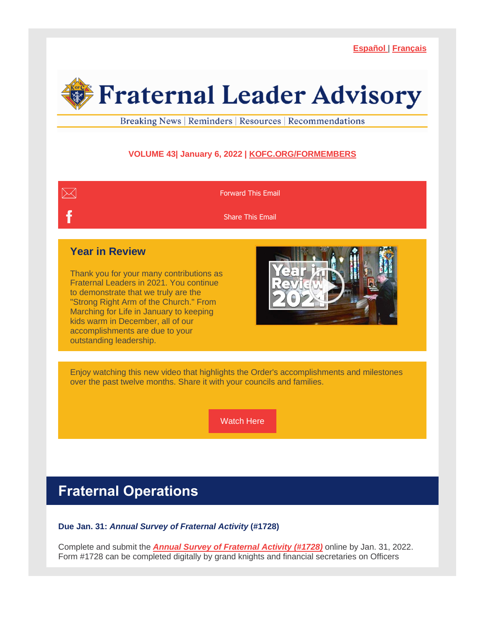**[Español](https://r20.rs6.net/tn.jsp?f=0011TOf6jZv30GcRxnFuul13RZN6j-fxWNV3Iw7Pisxx0sk2aBX-GPqDnDoVE6KyZLxf8-LlvbcG3di3rR28U0aPeYU1pegNy7jN8eIYwAipqz5V2lwKykFgxdHeOLlNAFCi89VHtC-n0gsM8WXmzZqow==&c=uzj6faEz14B5V3WrifVIFZtBqMenpzRtKsJ55zIYLRPAoczNnr-qOA==&ch=7GJ2yFGJijwAcOaqNWzRM5Y2NEQRpch2O32309LJVJ5pITo-1QwXFA==)** | **[Français](https://r20.rs6.net/tn.jsp?f=0011TOf6jZv30GcRxnFuul13RZN6j-fxWNV3Iw7Pisxx0sk2aBX-GPqDnDoVE6KyZLxJAq_zUFbztNjATrl9Avi6DB3Mm6YAnIiraAuLXWwzGvm5o-z3f0ZJLLgQwN7bYuKqZ1V-07561cIFQIaReE4bQ==&c=uzj6faEz14B5V3WrifVIFZtBqMenpzRtKsJ55zIYLRPAoczNnr-qOA==&ch=7GJ2yFGJijwAcOaqNWzRM5Y2NEQRpch2O32309LJVJ5pITo-1QwXFA==)**

# **Fraternal Leader Advisory**

Breaking News | Reminders | Resources | Recommendations

#### **VOLUME 43| January 6, 2022 | [KOFC.ORG/FORMEMBERS](https://r20.rs6.net/tn.jsp?f=0011TOf6jZv30GcRxnFuul13RZN6j-fxWNV3Iw7Pisxx0sk2aBX-GPqDgMfeczmHpHyxhRwXotdmufLl9q5xTv0Rs5OhYQLZGfGHyrmxAfO6grExGy4iRU79upypAm2Mgw71wsumOcYXq7BiQytRohJKwxOC7fiTkAa83d3EHNYRYSRWvzS166h8fHMR99-rRNIMAdYOVuQv3Sv7Hhe4H6uHpFGrqhGm3lRc6eQeem5vPjQlWOldwCtwdb86Zuk4Mz-LNILC8-OHT3e6vXRledDbjuVuVXyoTJrNORLaSxzwlz0i8JXRPMERcXBhIS2v_RrkkAwgU6jQig=&c=uzj6faEz14B5V3WrifVIFZtBqMenpzRtKsJ55zIYLRPAoczNnr-qOA==&ch=7GJ2yFGJijwAcOaqNWzRM5Y2NEQRpch2O32309LJVJ5pITo-1QwXFA==)**



# **Fraternal Operations**

#### **Due Jan. 31:** *Annual Survey of Fraternal Activity* **(#1728)**

Complete and submit the *Annual Survey of [Fraternal](https://r20.rs6.net/tn.jsp?f=0011TOf6jZv30GcRxnFuul13RZN6j-fxWNV3Iw7Pisxx0sk2aBX-GPqDvvxE6d1swMnLkz-SpUJ-MKuSTJzl8os2V8ZS-iQ-1iXw516cx4qTSCRsO1rwPBfO8bgKhaW7Egl2249OeUsxLwWeRPjZYpaRjo3vQ4ZZZXJ73d2kb94JuxXUi9yzcws-lkHbwIHxhLoyt2VsU6iVB740TeWN_vOuhdOi_CxLGsQeKHnt6tC-VMZxwTw7B7DU5FhmadWuNseHV1P9k_1k500DI-gv8vUOW5DCAuXSyIPTo3fAJgyl0CgfS4sUljKAwMfeZANiN8CJlh6W9y9Qc6DigondRX8uKsmN12mYeXBYHqczW0TYP0=&c=uzj6faEz14B5V3WrifVIFZtBqMenpzRtKsJ55zIYLRPAoczNnr-qOA==&ch=7GJ2yFGJijwAcOaqNWzRM5Y2NEQRpch2O32309LJVJ5pITo-1QwXFA==) Activity (#1728)* online by Jan. 31, 2022. Form #1728 can be completed digitally by grand knights and financial secretaries on Officers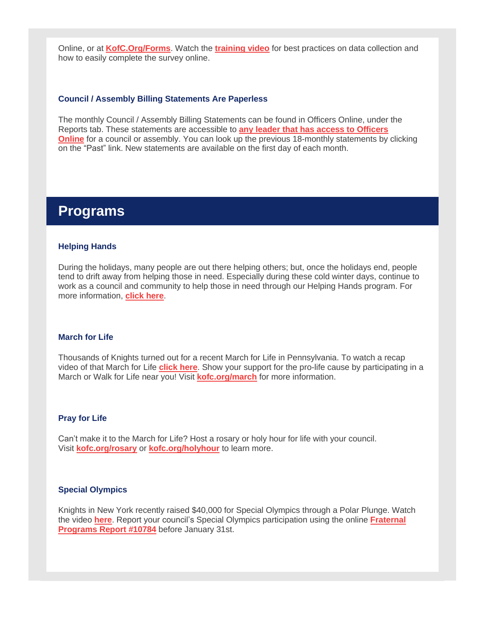Online, or at **[KofC.Org/Forms](https://r20.rs6.net/tn.jsp?f=0011TOf6jZv30GcRxnFuul13RZN6j-fxWNV3Iw7Pisxx0sk2aBX-GPqDrQpucPbSjR1SBPXXbWMXSIyuFPzyziXk7Onp53krYBNuyHa_EA1UZKW0APzeXT_zE6-zpKy6G7HdvRvaVri2yAV-zEDfCjAK0nAxO66TYa9dsgPhfEt852c1TcZUmB91m3iGGBBOwNuztB4NchuIC19bRjM__40AQtO9N-HhXk8nm9p1jnYfaBb0gm0V-IHJXn4ZStl0j6lG4uxkZ7177yTH9Mks8Yj2J3G4opYb_dzSblfrB4miyuJZNUkmo3WtBdTma1W09bxW9ovLM0F8E01womWonkw-rNIVee3V8z4&c=uzj6faEz14B5V3WrifVIFZtBqMenpzRtKsJ55zIYLRPAoczNnr-qOA==&ch=7GJ2yFGJijwAcOaqNWzRM5Y2NEQRpch2O32309LJVJ5pITo-1QwXFA==)**. Watch the **[training](https://r20.rs6.net/tn.jsp?f=0011TOf6jZv30GcRxnFuul13RZN6j-fxWNV3Iw7Pisxx0sk2aBX-GPqDnDoVE6KyZLx0YmIaYCi_SVaD06ClRwmi6IGcSbPGjSBiOr7HuS7SAP4mZInjKY0sMpvtd7VL0AT3bcp33ir8SuihkxFbwSZXLe_P25ZnRqZtL3KE_PTiv3EzXuzSgZ2-n3Kwh7S4PlIYXUeDS9ObziSb12QpScTOhx2-62Zc8wCvpDspvokFyVV2zPUNVc_wuJxD0NRJveivc-_napSYo9WaX8tz6BoGWtp0_LYBSI1ngHf7-KQTeNztzXICZBmVibwYrBTPXFDhv7r3Qjh13YCqNu4xm-tDPsUeR_MEFvbfEOcd4QYkV3UoV_XkMfbuM-oslBynKGzxDfRw8PKB2oXmXr_7LozVzsU0eC4lG_qLP_7IllfsxwBDezvPR7JNF8lweecsJGKw-ANWS7xtUk2WRzHSprOvA==&c=uzj6faEz14B5V3WrifVIFZtBqMenpzRtKsJ55zIYLRPAoczNnr-qOA==&ch=7GJ2yFGJijwAcOaqNWzRM5Y2NEQRpch2O32309LJVJ5pITo-1QwXFA==) video** for best practices on data collection and how to easily complete the survey online.

#### **Council / Assembly Billing Statements Are Paperless**

The monthly Council / Assembly Billing Statements can be found in Officers Online, under the Reports tab. These statements are accessible to **any leader that has access to [Officers](https://r20.rs6.net/tn.jsp?f=0011TOf6jZv30GcRxnFuul13RZN6j-fxWNV3Iw7Pisxx0sk2aBX-GPqDs79aMSGTUtsgvWPQ7OZYCXT0U3utQJfGn0ndHzp2EbM2ouqmWCUoethkFTQZx1Oh9pMLzvnBMjzCyEktm6-X_3CC0FnQbNkdy8PMiX3WNaUJEWlNwxkHV6s2ErrN5ypmt0b2FwT0YtAU_8s1RfzUbOyoVpm0gs8y21TQa9wESr7cFQCgsI0aQKEPxUjeN8QBXcLPgya0LMpUFaM0OtnKU-Qhi0l2Fl5bWJaXg0QiVdKRCjwHmKMMhB05nXUV1z0s7ABkYjknXxyig2_Bnjl2adzEO140_sb8SMpXSkttjDQ_r6YzhXYkEbmI8SsKpso0A==&c=uzj6faEz14B5V3WrifVIFZtBqMenpzRtKsJ55zIYLRPAoczNnr-qOA==&ch=7GJ2yFGJijwAcOaqNWzRM5Y2NEQRpch2O32309LJVJ5pITo-1QwXFA==) [Online](https://r20.rs6.net/tn.jsp?f=0011TOf6jZv30GcRxnFuul13RZN6j-fxWNV3Iw7Pisxx0sk2aBX-GPqDs79aMSGTUtsgvWPQ7OZYCXT0U3utQJfGn0ndHzp2EbM2ouqmWCUoethkFTQZx1Oh9pMLzvnBMjzCyEktm6-X_3CC0FnQbNkdy8PMiX3WNaUJEWlNwxkHV6s2ErrN5ypmt0b2FwT0YtAU_8s1RfzUbOyoVpm0gs8y21TQa9wESr7cFQCgsI0aQKEPxUjeN8QBXcLPgya0LMpUFaM0OtnKU-Qhi0l2Fl5bWJaXg0QiVdKRCjwHmKMMhB05nXUV1z0s7ABkYjknXxyig2_Bnjl2adzEO140_sb8SMpXSkttjDQ_r6YzhXYkEbmI8SsKpso0A==&c=uzj6faEz14B5V3WrifVIFZtBqMenpzRtKsJ55zIYLRPAoczNnr-qOA==&ch=7GJ2yFGJijwAcOaqNWzRM5Y2NEQRpch2O32309LJVJ5pITo-1QwXFA==)** for a council or assembly. You can look up the previous 18-monthly statements by clicking on the "Past" link. New statements are available on the first day of each month.

### **Programs**

#### **Helping Hands**

During the holidays, many people are out there helping others; but, once the holidays end, people tend to drift away from helping those in need. Especially during these cold winter days, continue to work as a council and community to help those in need through our Helping Hands program. For more information, **[click](https://r20.rs6.net/tn.jsp?f=0011TOf6jZv30GcRxnFuul13RZN6j-fxWNV3Iw7Pisxx0sk2aBX-GPqDo4nBYHnhHvtcZTEjP0KMFtqlXb4cWdntYlW92SRufLuaQJvXIisBORHzJ2Habx2bh0vrxdoWourjFgdd9Pu-16NsQOJuGbP0Jsb4q_uSZiYKJkWtCzcInRu8J1P1k7N-XmzTWzHCGVsNYxwcQKZwONJgabh46aEVFdjiTxKsZA1uuAMEoqdrZAq8AluPX0E5QIDsb6livD1GdtXepeDZX4L36_4_yTbSd7I_nEziRvbSjHFx6epOXekcrbi8778-rMQtjop9B2Bik0Ve9rxVafxgdPWbPOQOIXKURRdX7xATUbzC96uPLRz3QcKoEScQ-rmjCHhtFhw&c=uzj6faEz14B5V3WrifVIFZtBqMenpzRtKsJ55zIYLRPAoczNnr-qOA==&ch=7GJ2yFGJijwAcOaqNWzRM5Y2NEQRpch2O32309LJVJ5pITo-1QwXFA==) here**.

#### **March for Life**

Thousands of Knights turned out for a recent March for Life in Pennsylvania. To watch a recap video of that March for Life **[click](https://r20.rs6.net/tn.jsp?f=0011TOf6jZv30GcRxnFuul13RZN6j-fxWNV3Iw7Pisxx0sk2aBX-GPqDqctUgzAniVI1CO3BhhJGRpOKJnI3JFLaOBymhDsBgSLcsTzsTfQWfDkPisaacz4myNrksP2TeXitEXOgZTRozuhSo6VTTvdilFni6sOGK0D3trMummxWMVwW3PhCd0kCZOlT7Xf0El4W3wXgeC60qVpgZSBqQ1zz_qaLApWFHOmd2UiYXzpBBjyAfqNaajVv1WiU1p3RO-hm7jTX-xTBctp-oROapx3OST7VFbmG3_nGFOFxpDkO-2XuFWfQKMABDngn9RyLjh0&c=uzj6faEz14B5V3WrifVIFZtBqMenpzRtKsJ55zIYLRPAoczNnr-qOA==&ch=7GJ2yFGJijwAcOaqNWzRM5Y2NEQRpch2O32309LJVJ5pITo-1QwXFA==) here**. Show your support for the pro-life cause by participating in a March or Walk for Life near you! Visit **[kofc.org/march](https://r20.rs6.net/tn.jsp?f=0011TOf6jZv30GcRxnFuul13RZN6j-fxWNV3Iw7Pisxx0sk2aBX-GPqDu3LjKyxRryun9-g4KPTywNzYZ2ejk-g32r_AfFPggf3-xuey7smQGI5JqYUgvUtqhu8Y33yFOWp7ZeyP96Yj3-zHG5fzBrUrGBAxxHR8H5LlR5ay_8snptpOcSVixHNkmXUVss17B-zYHWUmWWQjNtNycwuwoQ9sg39pqkBUmYkm-Rjg29EMufm4jRojO5GL5ZN4h9Xr7R-aLQ0KJPToHvccjsrUAjUMfKzGgUwk72CQa8WEXB6vNS3DlLgeD6nEhvl_geWHlsgL6Chyh3mYbV5nvAgmYZxzOUd4qAF08_mLhH_rIU2QloClBkaRKXOmHT7PVYS2MXj&c=uzj6faEz14B5V3WrifVIFZtBqMenpzRtKsJ55zIYLRPAoczNnr-qOA==&ch=7GJ2yFGJijwAcOaqNWzRM5Y2NEQRpch2O32309LJVJ5pITo-1QwXFA==)** for more information.

#### **Pray for Life**

Can't make it to the March for Life? Host a rosary or holy hour for life with your council. Visit **[kofc.org/rosary](https://r20.rs6.net/tn.jsp?f=0011TOf6jZv30GcRxnFuul13RZN6j-fxWNV3Iw7Pisxx0sk2aBX-GPqDiw81v17Jq4LcqawkM7glD3_1NILJYgmVt3lok35GuTTsfeCe5N1IWGi-zF7__Hm67QRx0LYLfill9C4gX6rqrSkeExR1KaacKb96Cx_fCpG53_GNQMfz3tUFqWPtfG4V9ak8dK4yFnCmQSGZofpZY_BUcWNY0zRLTq2ySwlB4Q0TVafM--zJRrgnM3fQDUSjlgU-Oltf9dD_PDhzI6ml9Ab_EjCED5lf2wcL6JrNoH847LjKG4WXV2u2j76f1ShbrH19xNDtSjGpkconVVEs1Ne3v6eG5QNVRg1gyMDBUTmYRj39tCRHfCyF3DZY1lhT-ebQAyrBbf5&c=uzj6faEz14B5V3WrifVIFZtBqMenpzRtKsJ55zIYLRPAoczNnr-qOA==&ch=7GJ2yFGJijwAcOaqNWzRM5Y2NEQRpch2O32309LJVJ5pITo-1QwXFA==)** or **[kofc.org/holyhour](https://r20.rs6.net/tn.jsp?f=0011TOf6jZv30GcRxnFuul13RZN6j-fxWNV3Iw7Pisxx0sk2aBX-GPqDpWZgiI5lxKdH6iBceFXU61l-vuM9YKfhQKC_Ow6yYE0xaUhhvt8wQzEOW1bmJzqcNqP7pCeBl3IL7nSpWQIso0Dz3D_wcXSDc5BnClb1S1-E6Fugyxfh4CFR08UhIM7mDba3keso_WSP3ET60qStLTFTGIUNOXoWHfP7KdLHM_UELAj3QjVIh8slkkZ48as5S2qinq9GMe1K35MKqjIsFiaR6l2xIO9e8Wb1Jlt7wxzsZYAvJJ5OsWATcorjERWs2TFZNK3KHUVZRqA-JAhk6ECYzdpSeWja4t3PLCWQUlLNXCu1k34EWP29A44POZtCw==&c=uzj6faEz14B5V3WrifVIFZtBqMenpzRtKsJ55zIYLRPAoczNnr-qOA==&ch=7GJ2yFGJijwAcOaqNWzRM5Y2NEQRpch2O32309LJVJ5pITo-1QwXFA==)** to learn more.

#### **Special Olympics**

Knights in New York recently raised \$40,000 for Special Olympics through a Polar Plunge. Watch the video **[here](https://r20.rs6.net/tn.jsp?f=0011TOf6jZv30GcRxnFuul13RZN6j-fxWNV3Iw7Pisxx0sk2aBX-GPqDqctUgzAniVI1CO3BhhJGRpOKJnI3JFLaOBymhDsBgSLcsTzsTfQWfDkPisaacz4myNrksP2TeXitEXOgZTRozuhSo6VTTvdioOl883GtpsOj-OTtZAY-6fhX02Of3beSLj10JTohna0zsyeCvDcMsi8PUa8IIzhCwJi6YBnFUsmqxZL7Lc5qq-knxqNWB7R4rWv1qgxsI1kiQGXuR-ZDPydPffIfBDSx_vbgVGX3GB7BVM2X4kAMQZ8TMj3zUpi4eKhBddOM61n&c=uzj6faEz14B5V3WrifVIFZtBqMenpzRtKsJ55zIYLRPAoczNnr-qOA==&ch=7GJ2yFGJijwAcOaqNWzRM5Y2NEQRpch2O32309LJVJ5pITo-1QwXFA==)**. Report your council's Special Olympics participation using the online **[Fraternal](https://r20.rs6.net/tn.jsp?f=0011TOf6jZv30GcRxnFuul13RZN6j-fxWNV3Iw7Pisxx0sk2aBX-GPqDvvxE6d1swMnLkz-SpUJ-MKuSTJzl8os2V8ZS-iQ-1iXw516cx4qTSCRsO1rwPBfO8bgKhaW7Egl2249OeUsxLwWeRPjZYpaRjo3vQ4ZZZXJ73d2kb94JuxXUi9yzcws-lkHbwIHxhLoyt2VsU6iVB7i_0h8l4-OCsSkz8afybYvmxzSi3l7zvQsw0VzdVjQwIev5p8VoM21m4L3fi2tmvfmqnh1wdcSZoxggthwkgghbjCDiJe4wfr76D5uGTRdsD4wUuUNbyfsNe4KBR14As8MhbfROb3c5WmyMEWuBjgJ4VBSPvpjHho=&c=uzj6faEz14B5V3WrifVIFZtBqMenpzRtKsJ55zIYLRPAoczNnr-qOA==&ch=7GJ2yFGJijwAcOaqNWzRM5Y2NEQRpch2O32309LJVJ5pITo-1QwXFA==) [Programs](https://r20.rs6.net/tn.jsp?f=0011TOf6jZv30GcRxnFuul13RZN6j-fxWNV3Iw7Pisxx0sk2aBX-GPqDvvxE6d1swMnLkz-SpUJ-MKuSTJzl8os2V8ZS-iQ-1iXw516cx4qTSCRsO1rwPBfO8bgKhaW7Egl2249OeUsxLwWeRPjZYpaRjo3vQ4ZZZXJ73d2kb94JuxXUi9yzcws-lkHbwIHxhLoyt2VsU6iVB7i_0h8l4-OCsSkz8afybYvmxzSi3l7zvQsw0VzdVjQwIev5p8VoM21m4L3fi2tmvfmqnh1wdcSZoxggthwkgghbjCDiJe4wfr76D5uGTRdsD4wUuUNbyfsNe4KBR14As8MhbfROb3c5WmyMEWuBjgJ4VBSPvpjHho=&c=uzj6faEz14B5V3WrifVIFZtBqMenpzRtKsJ55zIYLRPAoczNnr-qOA==&ch=7GJ2yFGJijwAcOaqNWzRM5Y2NEQRpch2O32309LJVJ5pITo-1QwXFA==) Report #10784** before January 31st.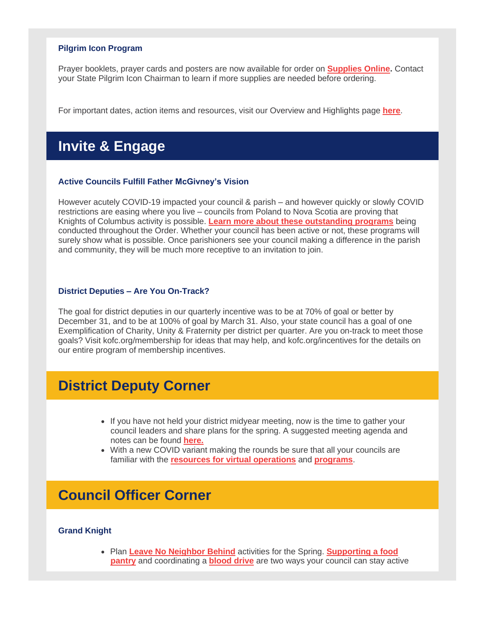#### **Pilgrim Icon Program**

Prayer booklets, prayer cards and posters are now available for order on **[Supplies](https://r20.rs6.net/tn.jsp?f=0011TOf6jZv30GcRxnFuul13RZN6j-fxWNV3Iw7Pisxx0sk2aBX-GPqDl3PS1VUKILSABG-QYBgQEGohNbw0GcbxnVPQLGpJBAzSVpc-VjE4UIyyqiEHC94o6RKs1I2OVDTPajrJ4ObrooggUKuivfTngFD89VHn6F8kth1RSU50Ol37BbMRF4FoMZA_8_7xpFk&c=uzj6faEz14B5V3WrifVIFZtBqMenpzRtKsJ55zIYLRPAoczNnr-qOA==&ch=7GJ2yFGJijwAcOaqNWzRM5Y2NEQRpch2O32309LJVJ5pITo-1QwXFA==) Online.** Contact your State Pilgrim Icon Chairman to learn if more supplies are needed before ordering.

For important dates, action items and resources, visit our Overview and Highlights page **[here](https://r20.rs6.net/tn.jsp?f=0011TOf6jZv30GcRxnFuul13RZN6j-fxWNV3Iw7Pisxx0sk2aBX-GPqDgNlJV3K4cCW42W7fdfhlfrJd8bgqC0knBIF15_qHBC2O2cX1B89XswbBB4w8oR-fBx6I5HqIfk4mEzJHsDTwXbUg1_2v_ZMSaI7Nd7Fs3mX1hdb3JILN76mPOLBeXLPeyViS1lr6sYQPH5S8MNozUyXobkd5914dtTIuVtx7bO8RuYOIK4Qu7xvGyu72EtbgoR_W1NqVu4X00sdmfmrzaiUM5UycyGR1oJjeKus7BvUn2C8GBDQVv4YLJmw0zyGp4GSwZDLl8OoZFeEOVYcGZPZYyac1aSV6-jBbGQjK-mVSMOOmfk3C8_sgfeqHx7N6A==&c=uzj6faEz14B5V3WrifVIFZtBqMenpzRtKsJ55zIYLRPAoczNnr-qOA==&ch=7GJ2yFGJijwAcOaqNWzRM5Y2NEQRpch2O32309LJVJ5pITo-1QwXFA==)**.

## **Invite & Engage**

#### **Active Councils Fulfill Father McGivney's Vision**

However acutely COVID-19 impacted your council & parish – and however quickly or slowly COVID restrictions are easing where you live – councils from Poland to Nova Scotia are proving that Knights of Columbus activity is possible. **Learn more about these [outstanding](https://r20.rs6.net/tn.jsp?f=0011TOf6jZv30GcRxnFuul13RZN6j-fxWNV3Iw7Pisxx0sk2aBX-GPqDnDoVE6KyZLx4niGbCSZrP1n70rT0Ouu6Ngxcd7EHGb5Gz4Iogf_SEawlF7gHRjN-GCmQlW_sJeEkwWxjgyS4_HdsBWTk4taO-9jx6_zaaIIZYu5UOUfsCLSqbCeWz7JJUFw2PsaAW972Pe_LeRHBvifRZHs10PBu4rrm73TvS0ted0O4bCz5KkGUaeNShrfhLnC_2Se1zsz6vj9Wy7nwVMKCXvUSeDzrTsbCKUhbL_I_mkH8bHQFQzTIAEk9R0LjJlt3JMvQ32hXnuw7MOTwgQuWvF0P9ZrGcwx9OtU1_LK&c=uzj6faEz14B5V3WrifVIFZtBqMenpzRtKsJ55zIYLRPAoczNnr-qOA==&ch=7GJ2yFGJijwAcOaqNWzRM5Y2NEQRpch2O32309LJVJ5pITo-1QwXFA==) programs** being conducted throughout the Order. Whether your council has been active or not, these programs will surely show what is possible. Once parishioners see your council making a difference in the parish and community, they will be much more receptive to an invitation to join.

#### **District Deputies – Are You On-Track?**

The goal for district deputies in our quarterly incentive was to be at 70% of goal or better by December 31, and to be at 100% of goal by March 31. Also, your state council has a goal of one Exemplification of Charity, Unity & Fraternity per district per quarter. Are you on-track to meet those goals? Visit kofc.org/membership for ideas that may help, and kofc.org/incentives for the details on our entire program of membership incentives.

## **District Deputy Corner**

- If you have not held your district midyear meeting, now is the time to gather your council leaders and share plans for the spring. A suggested meeting agenda and notes can be found **[here.](https://r20.rs6.net/tn.jsp?f=0011TOf6jZv30GcRxnFuul13RZN6j-fxWNV3Iw7Pisxx0sk2aBX-GPqDjZy3USW6fB9cNSFhnKjNv3HFk294yxVBGmMsl_yXV4XjNsMjvqwVb-Gr_kmdjS70I9yQCD0_nI1rJpV9OSm_tay8vh7cvykZVACu7soPdj4rfVkTcoWYhPy9a1TBH4-ADAYRb0XVbH9zyqctbxqOv93DXSoHpeFQlU5BOo4NV8zYEw3ATEzchfjSniW_hI0FgWcU0PCt8IRXISRq0lKe_BCjuayQlR2jsFP1KaqQuR3Zc_NxeglOci2hUCOC_7qhDkdTB3_xkZXveADBH_xuFMJ2k32QW7SGkc1sa4cFHRRbLPoOHHb8DI=&c=uzj6faEz14B5V3WrifVIFZtBqMenpzRtKsJ55zIYLRPAoczNnr-qOA==&ch=7GJ2yFGJijwAcOaqNWzRM5Y2NEQRpch2O32309LJVJ5pITo-1QwXFA==)**
- With a new COVID variant making the rounds be sure that all your councils are familiar with the **resources for virtual [operations](https://r20.rs6.net/tn.jsp?f=0011TOf6jZv30GcRxnFuul13RZN6j-fxWNV3Iw7Pisxx0sk2aBX-GPqDjZy3USW6fB9cNSFhnKjNv3HFk294yxVBGmMsl_yXV4XjNsMjvqwVb-Gr_kmdjS70I9yQCD0_nI1rJpV9OSm_tay8vh7cvykZVACu7soPdj4rfVkTcoWYhPy9a1TBH4-ADAYRb0XVbH9zyqctbxqOv93DXSoHpeFQlU5BOo4NV8zYEw3ATEzchfjSniW_hI0FgWcU0PCt8IRXISRq0lKe_BCjuayQlR2jsFP1KaqQuR3Zc_NxeglOci2hUCOC_7qhDkdTB3_xkZXveADBH_xuFMJ2k32QW7SGkc1sa4cFHRRbLPoOHHb8DI=&c=uzj6faEz14B5V3WrifVIFZtBqMenpzRtKsJ55zIYLRPAoczNnr-qOA==&ch=7GJ2yFGJijwAcOaqNWzRM5Y2NEQRpch2O32309LJVJ5pITo-1QwXFA==)** and **[programs](https://r20.rs6.net/tn.jsp?f=0011TOf6jZv30GcRxnFuul13RZN6j-fxWNV3Iw7Pisxx0sk2aBX-GPqDoRWvWd9wocPCr3H-KUDs1ddOF_cSLkk9p37V9A5g9YrYc1IAYKfR0VomrYEGgL25D7mjgVERhCUz8d9SrmBmgZvo_20WwKxF8At0W8I2qr9bXKAqU8RwOBn-RipYgODsA8qvVO0MMHMtY-m6mhQqLEvxFoidpXSCgST6FrstD-FC5Iic5Igxi8chfr_jmYprBaWx-FY96mh_AAI8pMIVOpns80A7UTc4SkIsRPWxJmxCadyf4nLIctiOruz31bugmsKo_CVTB5urUOWUxw-wa7kvx_gfylp8hRDGlXfWqVDUKR2nyStD165qJlCwe8Db_FQo1aVXWztIcxfHJtMXvo3N6tlgB5xWA==&c=uzj6faEz14B5V3WrifVIFZtBqMenpzRtKsJ55zIYLRPAoczNnr-qOA==&ch=7GJ2yFGJijwAcOaqNWzRM5Y2NEQRpch2O32309LJVJ5pITo-1QwXFA==)**.

## **Council Officer Corner**

#### **Grand Knight**

• Plan **Leave No [Neighbor](https://r20.rs6.net/tn.jsp?f=0011TOf6jZv30GcRxnFuul13RZN6j-fxWNV3Iw7Pisxx0sk2aBX-GPqDjJiTjW0t9H1o1Ve5030NV3YHD6YTLTbARtB7_rhSfwHHgtTtDARJSKMTR-9lCJ1YJTER8EfvZ1o4CnVjdh3N-SUtmQdsoZOCBLb24KjkzMaylZPngn8_QnL_94LXBgsZJ5kpdwsW293kzxB5ImgrlazD-Sor7YZqR60-0R6Uke4p_bSNvof4-Q41p_OOq_KPdeFMLWhvLzvANBl7tBTjGkvii7kieS_gaSMzsf33KQcbAx1xWOfPw8bM-1_oMekwnoESEjnXvVq5931Euwa-PxRFrwzMCxhB6NMQHxykLm6Yi5zbX8YuzgBh9bRd-qX9-viGl0u2mk6LlvvUMoHZQ0=&c=uzj6faEz14B5V3WrifVIFZtBqMenpzRtKsJ55zIYLRPAoczNnr-qOA==&ch=7GJ2yFGJijwAcOaqNWzRM5Y2NEQRpch2O32309LJVJ5pITo-1QwXFA==) Behind** activities for the Spring. **[Supporting](https://r20.rs6.net/tn.jsp?f=0011TOf6jZv30GcRxnFuul13RZN6j-fxWNV3Iw7Pisxx0sk2aBX-GPqDozEy-8V_UvK7IB3Jj1-ciI-ors2RMdbAay-RkydlvHMDrYz6e4VwKTl8DO-wUeJJkKtR8xdiplufDXzd9KEpfUzbgmgLUkAO9d-o6ZzHWUIl6aCmppl4VE8927Hk3iqdxIAZLc2DfQQvG_-z3JC_RApsmjHr-63U3ggLg_1Z2Afx0EmNxY0fW79S732w_HAzg95aTrsWV5gvbrRAijxNZf7rVk5EilphhRCDLnpDOg1oyy9FCvZAPlUwZHtUYS3yvk2cbH7JLvplF00M9IeUgT-Z5tNe1C8A8ATn6Irak3eCoFh-8hR22xJc_2UAZm9lgJS1dk4tJxZ&c=uzj6faEz14B5V3WrifVIFZtBqMenpzRtKsJ55zIYLRPAoczNnr-qOA==&ch=7GJ2yFGJijwAcOaqNWzRM5Y2NEQRpch2O32309LJVJ5pITo-1QwXFA==) a food [pantry](https://r20.rs6.net/tn.jsp?f=0011TOf6jZv30GcRxnFuul13RZN6j-fxWNV3Iw7Pisxx0sk2aBX-GPqDozEy-8V_UvK7IB3Jj1-ciI-ors2RMdbAay-RkydlvHMDrYz6e4VwKTl8DO-wUeJJkKtR8xdiplufDXzd9KEpfUzbgmgLUkAO9d-o6ZzHWUIl6aCmppl4VE8927Hk3iqdxIAZLc2DfQQvG_-z3JC_RApsmjHr-63U3ggLg_1Z2Afx0EmNxY0fW79S732w_HAzg95aTrsWV5gvbrRAijxNZf7rVk5EilphhRCDLnpDOg1oyy9FCvZAPlUwZHtUYS3yvk2cbH7JLvplF00M9IeUgT-Z5tNe1C8A8ATn6Irak3eCoFh-8hR22xJc_2UAZm9lgJS1dk4tJxZ&c=uzj6faEz14B5V3WrifVIFZtBqMenpzRtKsJ55zIYLRPAoczNnr-qOA==&ch=7GJ2yFGJijwAcOaqNWzRM5Y2NEQRpch2O32309LJVJ5pITo-1QwXFA==)** and coordinating a **[blood](https://r20.rs6.net/tn.jsp?f=0011TOf6jZv30GcRxnFuul13RZN6j-fxWNV3Iw7Pisxx0sk2aBX-GPqDozEy-8V_UvK2HhoUvNt1vg0eyUlgmhiKZvTlhswpMrj5IexC6CJHAI_QXTZJz5lvmlTtR2UmZ-Ih5SgfBrT56jbDIxL-EdjiRDqNm8ohRtdkzx5wq8gSjTU7dwzjsI2aXjsVmBK9xJMChqP8IE-knaWzhQyC5n13ulcMd60xCYi2n62xanUP01FSxXYN0tGDOMq9imcVkBKekQ28phCYuoCRzYteJ5Hsxd2nMzyxJL2XsbG9HVMeuDiMBAJaMrJeoFHJ2_GLjLT6rhHqjCXaq6n4h3IYrI5pEW-VzYDB_SJD8_15Bl0ZDkqQHhfS5V6Q8XoIG0piT9mdb5h7-u6v4A=&c=uzj6faEz14B5V3WrifVIFZtBqMenpzRtKsJ55zIYLRPAoczNnr-qOA==&ch=7GJ2yFGJijwAcOaqNWzRM5Y2NEQRpch2O32309LJVJ5pITo-1QwXFA==) drive** are two ways your council can stay active